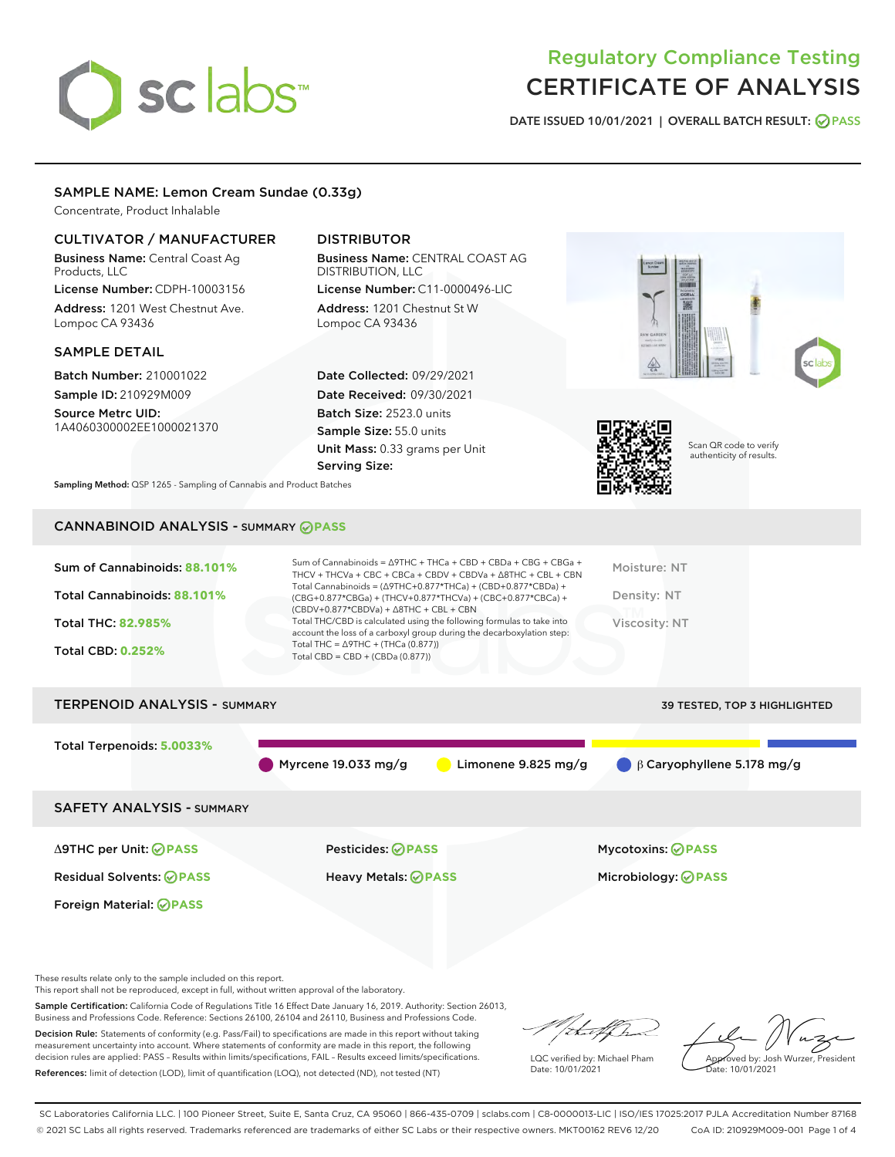

# Regulatory Compliance Testing CERTIFICATE OF ANALYSIS

DATE ISSUED 10/01/2021 | OVERALL BATCH RESULT: @ PASS

# SAMPLE NAME: Lemon Cream Sundae (0.33g)

Concentrate, Product Inhalable

# CULTIVATOR / MANUFACTURER

Business Name: Central Coast Ag Products, LLC License Number: CDPH-10003156

Address: 1201 West Chestnut Ave. Lompoc CA 93436

# SAMPLE DETAIL

Batch Number: 210001022 Sample ID: 210929M009

Source Metrc UID: 1A4060300002EE1000021370

# DISTRIBUTOR

Business Name: CENTRAL COAST AG DISTRIBUTION, LLC License Number: C11-0000496-LIC

Address: 1201 Chestnut St W Lompoc CA 93436

Date Collected: 09/29/2021 Date Received: 09/30/2021 Batch Size: 2523.0 units Sample Size: 55.0 units Unit Mass: 0.33 grams per Unit Serving Size:





Scan QR code to verify authenticity of results.

Sampling Method: QSP 1265 - Sampling of Cannabis and Product Batches

# CANNABINOID ANALYSIS - SUMMARY **PASS**

| Sum of Cannabinoids: 88.101% | Sum of Cannabinoids = Δ9THC + THCa + CBD + CBDa + CBG + CBGa +<br>THCV + THCVa + CBC + CBCa + CBDV + CBDVa + A8THC + CBL + CBN                                                       | Moisture: NT  |
|------------------------------|--------------------------------------------------------------------------------------------------------------------------------------------------------------------------------------|---------------|
| Total Cannabinoids: 88.101%  | Total Cannabinoids = $(\Delta$ 9THC+0.877*THCa) + (CBD+0.877*CBDa) +<br>(CBG+0.877*CBGa) + (THCV+0.877*THCVa) + (CBC+0.877*CBCa) +<br>$(CBDV+0.877*CBDVa) + \Delta 8THC + CBL + CBN$ | Density: NT   |
| <b>Total THC: 82.985%</b>    | Total THC/CBD is calculated using the following formulas to take into<br>account the loss of a carboxyl group during the decarboxylation step:                                       | Viscosity: NT |
| <b>Total CBD: 0.252%</b>     | Total THC = $\triangle$ 9THC + (THCa (0.877))<br>Total CBD = $CBD + (CBDa (0.877))$                                                                                                  |               |
|                              |                                                                                                                                                                                      |               |

# TERPENOID ANALYSIS - SUMMARY 39 TESTED, TOP 3 HIGHLIGHTED Total Terpenoids: **5.0033%** Myrcene 19.033 mg/g **C** Limonene 9.825 mg/g β Caryophyllene 5.178 mg/g SAFETY ANALYSIS - SUMMARY Δ9THC per Unit: **PASS** Pesticides: **PASS** Mycotoxins: **PASS**

Foreign Material: **PASS**

Residual Solvents: **PASS** Heavy Metals: **PASS** Microbiology: **PASS**

These results relate only to the sample included on this report.

This report shall not be reproduced, except in full, without written approval of the laboratory.

Sample Certification: California Code of Regulations Title 16 Effect Date January 16, 2019. Authority: Section 26013, Business and Professions Code. Reference: Sections 26100, 26104 and 26110, Business and Professions Code.

Decision Rule: Statements of conformity (e.g. Pass/Fail) to specifications are made in this report without taking measurement uncertainty into account. Where statements of conformity are made in this report, the following decision rules are applied: PASS – Results within limits/specifications, FAIL – Results exceed limits/specifications. References: limit of detection (LOD), limit of quantification (LOQ), not detected (ND), not tested (NT)

that f

LQC verified by: Michael Pham Date: 10/01/2021

Approved by: Josh Wurzer, President proved by: 585

SC Laboratories California LLC. | 100 Pioneer Street, Suite E, Santa Cruz, CA 95060 | 866-435-0709 | sclabs.com | C8-0000013-LIC | ISO/IES 17025:2017 PJLA Accreditation Number 87168 © 2021 SC Labs all rights reserved. Trademarks referenced are trademarks of either SC Labs or their respective owners. MKT00162 REV6 12/20 CoA ID: 210929M009-001 Page 1 of 4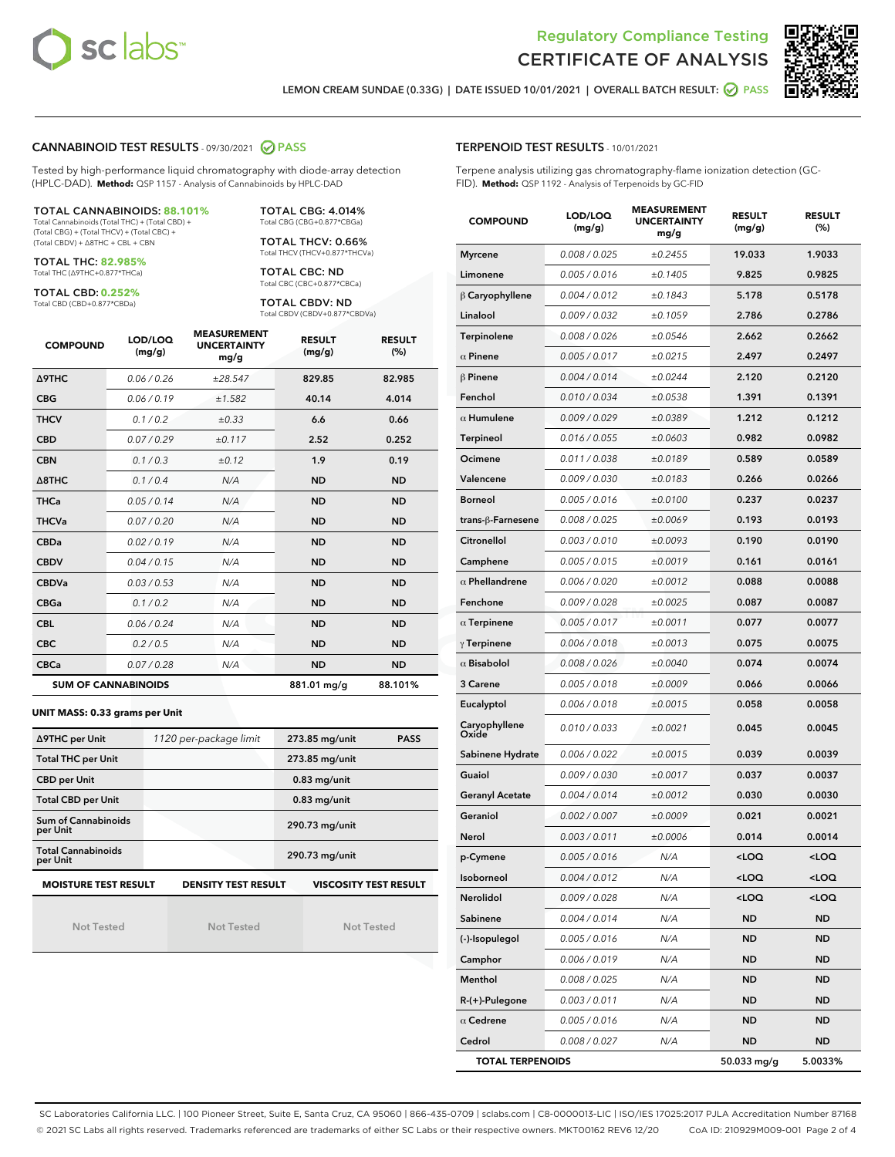



LEMON CREAM SUNDAE (0.33G) | DATE ISSUED 10/01/2021 | OVERALL BATCH RESULT: ● PASS

# CANNABINOID TEST RESULTS - 09/30/2021 2 PASS

Tested by high-performance liquid chromatography with diode-array detection (HPLC-DAD). **Method:** QSP 1157 - Analysis of Cannabinoids by HPLC-DAD

#### TOTAL CANNABINOIDS: **88.101%**

Total Cannabinoids (Total THC) + (Total CBD) + (Total CBG) + (Total THCV) + (Total CBC) + (Total CBDV) + ∆8THC + CBL + CBN

TOTAL THC: **82.985%** Total THC (∆9THC+0.877\*THCa)

TOTAL CBD: **0.252%**

Total CBD (CBD+0.877\*CBDa)

TOTAL CBG: 4.014% Total CBG (CBG+0.877\*CBGa)

TOTAL THCV: 0.66% Total THCV (THCV+0.877\*THCVa)

TOTAL CBC: ND Total CBC (CBC+0.877\*CBCa)

TOTAL CBDV: ND Total CBDV (CBDV+0.877\*CBDVa)

| <b>COMPOUND</b>            | LOD/LOQ<br>(mg/g) | <b>MEASUREMENT</b><br><b>UNCERTAINTY</b><br>mg/g | <b>RESULT</b><br>(mg/g) | <b>RESULT</b><br>(%) |
|----------------------------|-------------------|--------------------------------------------------|-------------------------|----------------------|
| <b>A9THC</b>               | 0.06 / 0.26       | ±28.547                                          | 829.85                  | 82.985               |
| <b>CBG</b>                 | 0.06 / 0.19       | ±1.582                                           | 40.14                   | 4.014                |
| <b>THCV</b>                | 0.1 / 0.2         | $\pm 0.33$                                       | 6.6                     | 0.66                 |
| <b>CBD</b>                 | 0.07/0.29         | ±0.117                                           | 2.52                    | 0.252                |
| <b>CBN</b>                 | 0.1 / 0.3         | ±0.12                                            | 1.9                     | 0.19                 |
| $\triangle$ 8THC           | 0.1/0.4           | N/A                                              | <b>ND</b>               | <b>ND</b>            |
| <b>THCa</b>                | 0.05/0.14         | N/A                                              | <b>ND</b>               | <b>ND</b>            |
| <b>THCVa</b>               | 0.07/0.20         | N/A                                              | <b>ND</b>               | <b>ND</b>            |
| <b>CBDa</b>                | 0.02/0.19         | N/A                                              | <b>ND</b>               | <b>ND</b>            |
| <b>CBDV</b>                | 0.04 / 0.15       | N/A                                              | <b>ND</b>               | <b>ND</b>            |
| <b>CBDVa</b>               | 0.03/0.53         | N/A                                              | <b>ND</b>               | <b>ND</b>            |
| <b>CBGa</b>                | 0.1/0.2           | N/A                                              | <b>ND</b>               | <b>ND</b>            |
| <b>CBL</b>                 | 0.06 / 0.24       | N/A                                              | <b>ND</b>               | <b>ND</b>            |
| <b>CBC</b>                 | 0.2 / 0.5         | N/A                                              | <b>ND</b>               | <b>ND</b>            |
| <b>CBCa</b>                | 0.07 / 0.28       | N/A                                              | <b>ND</b>               | <b>ND</b>            |
| <b>SUM OF CANNABINOIDS</b> |                   |                                                  | 881.01 mg/g             | 88.101%              |

#### **UNIT MASS: 0.33 grams per Unit**

| ∆9THC per Unit                        | 1120 per-package limit     | 273.85 mg/unit<br><b>PASS</b> |  |  |
|---------------------------------------|----------------------------|-------------------------------|--|--|
| <b>Total THC per Unit</b>             |                            | 273.85 mg/unit                |  |  |
| <b>CBD per Unit</b>                   |                            | $0.83$ mg/unit                |  |  |
| <b>Total CBD per Unit</b>             |                            | $0.83$ mg/unit                |  |  |
| Sum of Cannabinoids<br>per Unit       |                            | 290.73 mg/unit                |  |  |
| <b>Total Cannabinoids</b><br>per Unit |                            | 290.73 mg/unit                |  |  |
| <b>MOISTURE TEST RESULT</b>           | <b>DENSITY TEST RESULT</b> | <b>VISCOSITY TEST RESULT</b>  |  |  |

Not Tested

Not Tested

Not Tested

TERPENOID TEST RESULTS - 10/01/2021

Terpene analysis utilizing gas chromatography-flame ionization detection (GC-FID). **Method:** QSP 1192 - Analysis of Terpenoids by GC-FID

| <b>COMPOUND</b>         | LOD/LOQ<br>(mg/g) | <b>MEASUREMENT</b><br><b>UNCERTAINTY</b><br>mg/g | <b>RESULT</b><br>(mg/g)                         | <b>RESULT</b><br>(%) |
|-------------------------|-------------------|--------------------------------------------------|-------------------------------------------------|----------------------|
| <b>Myrcene</b>          | 0.008 / 0.025     | ±0.2455                                          | 19.033                                          | 1.9033               |
| Limonene                | 0.005 / 0.016     | ±0.1405                                          | 9.825                                           | 0.9825               |
| $\beta$ Caryophyllene   | 0.004 / 0.012     | ±0.1843                                          | 5.178                                           | 0.5178               |
| Linalool                | 0.009 / 0.032     | ±0.1059                                          | 2.786                                           | 0.2786               |
| Terpinolene             | 0.008 / 0.026     | ±0.0546                                          | 2.662                                           | 0.2662               |
| $\alpha$ Pinene         | 0.005 / 0.017     | ±0.0215                                          | 2.497                                           | 0.2497               |
| $\beta$ Pinene          | 0.004 / 0.014     | ±0.0244                                          | 2.120                                           | 0.2120               |
| Fenchol                 | 0.010 / 0.034     | ±0.0538                                          | 1.391                                           | 0.1391               |
| $\alpha$ Humulene       | 0.009 / 0.029     | ±0.0389                                          | 1.212                                           | 0.1212               |
| Terpineol               | 0.016 / 0.055     | ±0.0603                                          | 0.982                                           | 0.0982               |
| Ocimene                 | 0.011 / 0.038     | ±0.0189                                          | 0.589                                           | 0.0589               |
| Valencene               | 0.009 / 0.030     | ±0.0183                                          | 0.266                                           | 0.0266               |
| <b>Borneol</b>          | 0.005 / 0.016     | ±0.0100                                          | 0.237                                           | 0.0237               |
| trans-ß-Farnesene       | 0.008 / 0.025     | ±0.0069                                          | 0.193                                           | 0.0193               |
| Citronellol             | 0.003 / 0.010     | ±0.0093                                          | 0.190                                           | 0.0190               |
| Camphene                | 0.005 / 0.015     | ±0.0019                                          | 0.161                                           | 0.0161               |
| $\alpha$ Phellandrene   | 0.006 / 0.020     | ±0.0012                                          | 0.088                                           | 0.0088               |
| Fenchone                | 0.009 / 0.028     | ±0.0025                                          | 0.087                                           | 0.0087               |
| $\alpha$ Terpinene      | 0.005 / 0.017     | ±0.0011                                          | 0.077                                           | 0.0077               |
| $\gamma$ Terpinene      | 0.006 / 0.018     | ±0.0013                                          | 0.075                                           | 0.0075               |
| $\alpha$ Bisabolol      | 0.008 / 0.026     | ±0.0040                                          | 0.074                                           | 0.0074               |
| 3 Carene                | 0.005 / 0.018     | ±0.0009                                          | 0.066                                           | 0.0066               |
| Eucalyptol              | 0.006 / 0.018     | ±0.0015                                          | 0.058                                           | 0.0058               |
| Caryophyllene<br>Oxide  | 0.010 / 0.033     | ±0.0021                                          | 0.045                                           | 0.0045               |
| Sabinene Hydrate        | 0.006 / 0.022     | ±0.0015                                          | 0.039                                           | 0.0039               |
| Guaiol                  | 0.009 / 0.030     | ±0.0017                                          | 0.037                                           | 0.0037               |
| <b>Geranyl Acetate</b>  | 0.004 / 0.014     | ±0.0012                                          | 0.030                                           | 0.0030               |
| Geraniol                | 0.002 / 0.007     | ±0.0009                                          | 0.021                                           | 0.0021               |
| Nerol                   | 0.003 / 0.011     | ±0.0006                                          | 0.014                                           | 0.0014               |
| p-Cymene                | 0.005 / 0.016     | N/A                                              | <loq< th=""><th><loq< th=""></loq<></th></loq<> | <loq< th=""></loq<>  |
| Isoborneol              | 0.004 / 0.012     | N/A                                              | <loq< th=""><th><loq< th=""></loq<></th></loq<> | <loq< th=""></loq<>  |
| Nerolidol               | 0.009 / 0.028     | N/A                                              | <loq< th=""><th><loq< th=""></loq<></th></loq<> | <loq< th=""></loq<>  |
| Sabinene                | 0.004 / 0.014     | N/A                                              | <b>ND</b>                                       | <b>ND</b>            |
| (-)-Isopulegol          | 0.005 / 0.016     | N/A                                              | ND                                              | ND                   |
| Camphor                 | 0.006 / 0.019     | N/A                                              | ND                                              | ND                   |
| Menthol                 | 0.008 / 0.025     | N/A                                              | ND                                              | ND                   |
| $R-(+)$ -Pulegone       | 0.003 / 0.011     | N/A                                              | ND                                              | ND                   |
| $\alpha$ Cedrene        | 0.005 / 0.016     | N/A                                              | ND                                              | ND                   |
| Cedrol                  | 0.008 / 0.027     | N/A                                              | <b>ND</b>                                       | ND                   |
| <b>TOTAL TERPENOIDS</b> |                   | 50.033 mg/g                                      | 5.0033%                                         |                      |

SC Laboratories California LLC. | 100 Pioneer Street, Suite E, Santa Cruz, CA 95060 | 866-435-0709 | sclabs.com | C8-0000013-LIC | ISO/IES 17025:2017 PJLA Accreditation Number 87168 © 2021 SC Labs all rights reserved. Trademarks referenced are trademarks of either SC Labs or their respective owners. MKT00162 REV6 12/20 CoA ID: 210929M009-001 Page 2 of 4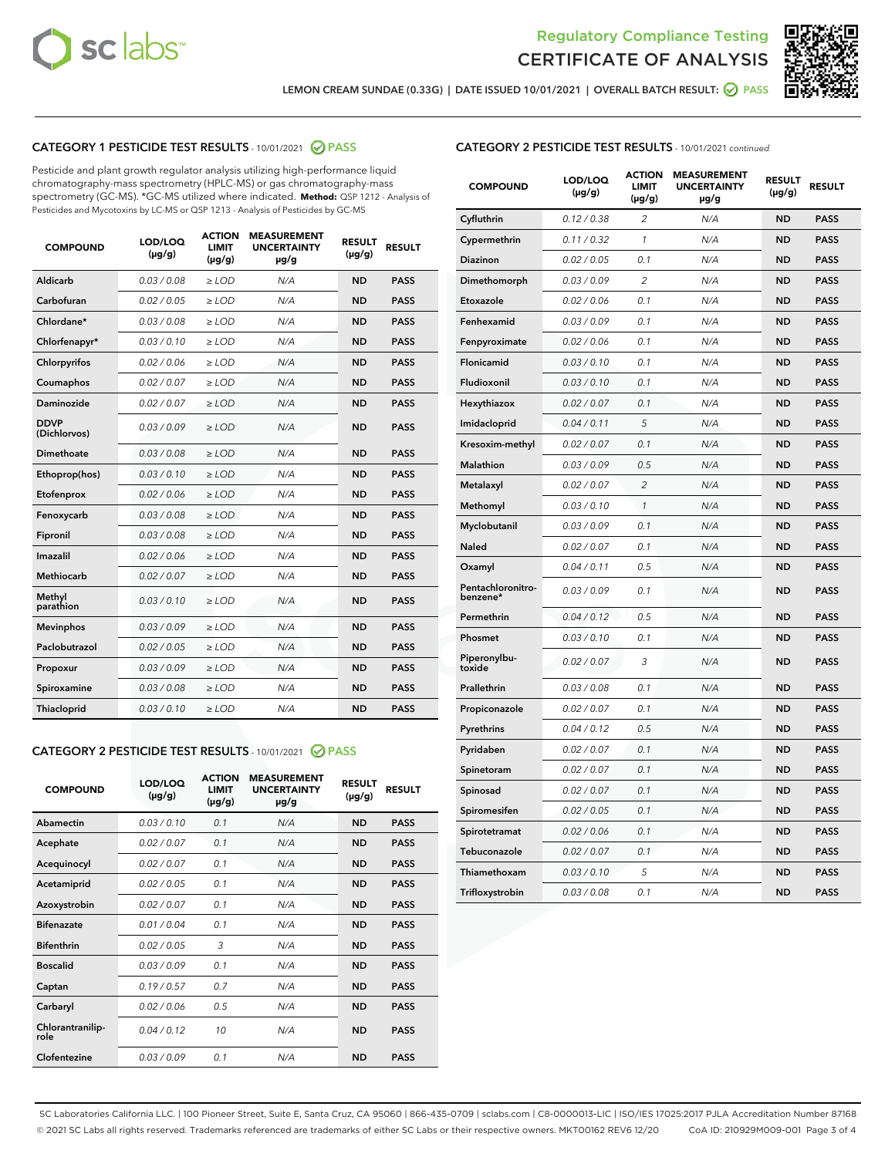



LEMON CREAM SUNDAE (0.33G) | DATE ISSUED 10/01/2021 | OVERALL BATCH RESULT: <mark>⊘</mark> PASS

# CATEGORY 1 PESTICIDE TEST RESULTS - 10/01/2021 2 PASS

Pesticide and plant growth regulator analysis utilizing high-performance liquid chromatography-mass spectrometry (HPLC-MS) or gas chromatography-mass spectrometry (GC-MS). \*GC-MS utilized where indicated. **Method:** QSP 1212 - Analysis of Pesticides and Mycotoxins by LC-MS or QSP 1213 - Analysis of Pesticides by GC-MS

| Aldicarb<br>0.03 / 0.08<br>$\geq$ LOD<br><b>ND</b><br><b>PASS</b><br>N/A<br>Carbofuran<br>0.02 / 0.05<br>$>$ LOD<br>N/A<br><b>ND</b><br><b>PASS</b><br>Chlordane*<br>0.03 / 0.08<br>$\ge$ LOD<br>N/A<br><b>ND</b><br><b>PASS</b><br>Chlorfenapyr*<br>0.03/0.10<br>$>$ LOD<br>N/A<br><b>ND</b><br><b>PASS</b><br>Chlorpyrifos<br>0.02 / 0.06<br>N/A<br><b>ND</b><br><b>PASS</b><br>≥ LOD<br><b>PASS</b><br>Coumaphos<br>0.02 / 0.07<br>$\ge$ LOD<br>N/A<br><b>ND</b><br>Daminozide<br>0.02 / 0.07<br>N/A<br><b>ND</b><br><b>PASS</b><br>$\geq$ LOD<br><b>DDVP</b><br>0.03/0.09<br><b>ND</b><br><b>PASS</b><br>$\geq$ LOD<br>N/A<br>(Dichlorvos)<br>Dimethoate<br>0.03 / 0.08<br>N/A<br><b>ND</b><br><b>PASS</b><br>$>$ LOD<br>Ethoprop(hos)<br>0.03/0.10<br>$\ge$ LOD<br>N/A<br><b>ND</b><br><b>PASS</b><br>N/A<br>0.02 / 0.06<br>$>$ LOD<br><b>ND</b><br><b>PASS</b><br>Etofenprox<br>0.03 / 0.08<br>N/A<br><b>ND</b><br><b>PASS</b><br>Fenoxycarb<br>$\geq$ LOD<br>0.03/0.08<br>$>$ LOD<br>N/A<br><b>ND</b><br><b>PASS</b><br>Fipronil<br>0.02 / 0.06<br>N/A<br>Imazalil<br>$\geq$ LOD<br><b>ND</b><br><b>PASS</b><br><b>Methiocarb</b><br>0.02 / 0.07<br>$\ge$ LOD<br>N/A<br><b>ND</b><br><b>PASS</b><br>Methyl<br>0.03/0.10<br>N/A<br><b>ND</b><br><b>PASS</b><br>$\geq$ LOD<br>parathion<br><b>Mevinphos</b><br>0.03/0.09<br>$>$ LOD<br>N/A<br><b>ND</b><br><b>PASS</b><br>Paclobutrazol<br>0.02 / 0.05<br>$\geq$ LOD<br>N/A<br><b>ND</b><br><b>PASS</b><br>0.03/0.09<br>$\ge$ LOD<br>N/A<br><b>ND</b><br><b>PASS</b><br>Propoxur<br>Spiroxamine<br>0.03 / 0.08<br>$\ge$ LOD<br>N/A<br><b>ND</b><br><b>PASS</b><br>Thiacloprid<br>0.03/0.10<br>N/A<br><b>ND</b><br><b>PASS</b><br>$\geq$ LOD | <b>COMPOUND</b> | LOD/LOQ<br>$(\mu g/g)$ | <b>ACTION</b><br><b>LIMIT</b><br>$(\mu g/g)$ | <b>MEASUREMENT</b><br><b>UNCERTAINTY</b><br>µg/g | <b>RESULT</b><br>$(\mu g/g)$ | <b>RESULT</b> |
|--------------------------------------------------------------------------------------------------------------------------------------------------------------------------------------------------------------------------------------------------------------------------------------------------------------------------------------------------------------------------------------------------------------------------------------------------------------------------------------------------------------------------------------------------------------------------------------------------------------------------------------------------------------------------------------------------------------------------------------------------------------------------------------------------------------------------------------------------------------------------------------------------------------------------------------------------------------------------------------------------------------------------------------------------------------------------------------------------------------------------------------------------------------------------------------------------------------------------------------------------------------------------------------------------------------------------------------------------------------------------------------------------------------------------------------------------------------------------------------------------------------------------------------------------------------------------------------------------------------------------------------------------------------------------------------------------|-----------------|------------------------|----------------------------------------------|--------------------------------------------------|------------------------------|---------------|
|                                                                                                                                                                                                                                                                                                                                                                                                                                                                                                                                                                                                                                                                                                                                                                                                                                                                                                                                                                                                                                                                                                                                                                                                                                                                                                                                                                                                                                                                                                                                                                                                                                                                                                  |                 |                        |                                              |                                                  |                              |               |
|                                                                                                                                                                                                                                                                                                                                                                                                                                                                                                                                                                                                                                                                                                                                                                                                                                                                                                                                                                                                                                                                                                                                                                                                                                                                                                                                                                                                                                                                                                                                                                                                                                                                                                  |                 |                        |                                              |                                                  |                              |               |
|                                                                                                                                                                                                                                                                                                                                                                                                                                                                                                                                                                                                                                                                                                                                                                                                                                                                                                                                                                                                                                                                                                                                                                                                                                                                                                                                                                                                                                                                                                                                                                                                                                                                                                  |                 |                        |                                              |                                                  |                              |               |
|                                                                                                                                                                                                                                                                                                                                                                                                                                                                                                                                                                                                                                                                                                                                                                                                                                                                                                                                                                                                                                                                                                                                                                                                                                                                                                                                                                                                                                                                                                                                                                                                                                                                                                  |                 |                        |                                              |                                                  |                              |               |
|                                                                                                                                                                                                                                                                                                                                                                                                                                                                                                                                                                                                                                                                                                                                                                                                                                                                                                                                                                                                                                                                                                                                                                                                                                                                                                                                                                                                                                                                                                                                                                                                                                                                                                  |                 |                        |                                              |                                                  |                              |               |
|                                                                                                                                                                                                                                                                                                                                                                                                                                                                                                                                                                                                                                                                                                                                                                                                                                                                                                                                                                                                                                                                                                                                                                                                                                                                                                                                                                                                                                                                                                                                                                                                                                                                                                  |                 |                        |                                              |                                                  |                              |               |
|                                                                                                                                                                                                                                                                                                                                                                                                                                                                                                                                                                                                                                                                                                                                                                                                                                                                                                                                                                                                                                                                                                                                                                                                                                                                                                                                                                                                                                                                                                                                                                                                                                                                                                  |                 |                        |                                              |                                                  |                              |               |
|                                                                                                                                                                                                                                                                                                                                                                                                                                                                                                                                                                                                                                                                                                                                                                                                                                                                                                                                                                                                                                                                                                                                                                                                                                                                                                                                                                                                                                                                                                                                                                                                                                                                                                  |                 |                        |                                              |                                                  |                              |               |
|                                                                                                                                                                                                                                                                                                                                                                                                                                                                                                                                                                                                                                                                                                                                                                                                                                                                                                                                                                                                                                                                                                                                                                                                                                                                                                                                                                                                                                                                                                                                                                                                                                                                                                  |                 |                        |                                              |                                                  |                              |               |
|                                                                                                                                                                                                                                                                                                                                                                                                                                                                                                                                                                                                                                                                                                                                                                                                                                                                                                                                                                                                                                                                                                                                                                                                                                                                                                                                                                                                                                                                                                                                                                                                                                                                                                  |                 |                        |                                              |                                                  |                              |               |
|                                                                                                                                                                                                                                                                                                                                                                                                                                                                                                                                                                                                                                                                                                                                                                                                                                                                                                                                                                                                                                                                                                                                                                                                                                                                                                                                                                                                                                                                                                                                                                                                                                                                                                  |                 |                        |                                              |                                                  |                              |               |
|                                                                                                                                                                                                                                                                                                                                                                                                                                                                                                                                                                                                                                                                                                                                                                                                                                                                                                                                                                                                                                                                                                                                                                                                                                                                                                                                                                                                                                                                                                                                                                                                                                                                                                  |                 |                        |                                              |                                                  |                              |               |
|                                                                                                                                                                                                                                                                                                                                                                                                                                                                                                                                                                                                                                                                                                                                                                                                                                                                                                                                                                                                                                                                                                                                                                                                                                                                                                                                                                                                                                                                                                                                                                                                                                                                                                  |                 |                        |                                              |                                                  |                              |               |
|                                                                                                                                                                                                                                                                                                                                                                                                                                                                                                                                                                                                                                                                                                                                                                                                                                                                                                                                                                                                                                                                                                                                                                                                                                                                                                                                                                                                                                                                                                                                                                                                                                                                                                  |                 |                        |                                              |                                                  |                              |               |
|                                                                                                                                                                                                                                                                                                                                                                                                                                                                                                                                                                                                                                                                                                                                                                                                                                                                                                                                                                                                                                                                                                                                                                                                                                                                                                                                                                                                                                                                                                                                                                                                                                                                                                  |                 |                        |                                              |                                                  |                              |               |
|                                                                                                                                                                                                                                                                                                                                                                                                                                                                                                                                                                                                                                                                                                                                                                                                                                                                                                                                                                                                                                                                                                                                                                                                                                                                                                                                                                                                                                                                                                                                                                                                                                                                                                  |                 |                        |                                              |                                                  |                              |               |
|                                                                                                                                                                                                                                                                                                                                                                                                                                                                                                                                                                                                                                                                                                                                                                                                                                                                                                                                                                                                                                                                                                                                                                                                                                                                                                                                                                                                                                                                                                                                                                                                                                                                                                  |                 |                        |                                              |                                                  |                              |               |
|                                                                                                                                                                                                                                                                                                                                                                                                                                                                                                                                                                                                                                                                                                                                                                                                                                                                                                                                                                                                                                                                                                                                                                                                                                                                                                                                                                                                                                                                                                                                                                                                                                                                                                  |                 |                        |                                              |                                                  |                              |               |
|                                                                                                                                                                                                                                                                                                                                                                                                                                                                                                                                                                                                                                                                                                                                                                                                                                                                                                                                                                                                                                                                                                                                                                                                                                                                                                                                                                                                                                                                                                                                                                                                                                                                                                  |                 |                        |                                              |                                                  |                              |               |
|                                                                                                                                                                                                                                                                                                                                                                                                                                                                                                                                                                                                                                                                                                                                                                                                                                                                                                                                                                                                                                                                                                                                                                                                                                                                                                                                                                                                                                                                                                                                                                                                                                                                                                  |                 |                        |                                              |                                                  |                              |               |
|                                                                                                                                                                                                                                                                                                                                                                                                                                                                                                                                                                                                                                                                                                                                                                                                                                                                                                                                                                                                                                                                                                                                                                                                                                                                                                                                                                                                                                                                                                                                                                                                                                                                                                  |                 |                        |                                              |                                                  |                              |               |

## CATEGORY 2 PESTICIDE TEST RESULTS - 10/01/2021 @ PASS

| <b>COMPOUND</b>          | LOD/LOQ<br>$(\mu g/g)$ | <b>ACTION</b><br>LIMIT<br>$(\mu g/g)$ | <b>MEASUREMENT</b><br><b>UNCERTAINTY</b><br>$\mu$ g/g | <b>RESULT</b><br>$(\mu g/g)$ | <b>RESULT</b> |
|--------------------------|------------------------|---------------------------------------|-------------------------------------------------------|------------------------------|---------------|
| Abamectin                | 0.03/0.10              | 0.1                                   | N/A                                                   | <b>ND</b>                    | <b>PASS</b>   |
| Acephate                 | 0.02/0.07              | 0.1                                   | N/A                                                   | <b>ND</b>                    | <b>PASS</b>   |
| Acequinocyl              | 0.02/0.07              | 0.1                                   | N/A                                                   | <b>ND</b>                    | <b>PASS</b>   |
| Acetamiprid              | 0.02/0.05              | 0.1                                   | N/A                                                   | <b>ND</b>                    | <b>PASS</b>   |
| Azoxystrobin             | 0.02/0.07              | 0.1                                   | N/A                                                   | <b>ND</b>                    | <b>PASS</b>   |
| <b>Bifenazate</b>        | 0.01/0.04              | 0.1                                   | N/A                                                   | <b>ND</b>                    | <b>PASS</b>   |
| <b>Bifenthrin</b>        | 0.02 / 0.05            | 3                                     | N/A                                                   | <b>ND</b>                    | <b>PASS</b>   |
| <b>Boscalid</b>          | 0.03/0.09              | 0.1                                   | N/A                                                   | <b>ND</b>                    | <b>PASS</b>   |
| Captan                   | 0.19/0.57              | 07                                    | N/A                                                   | <b>ND</b>                    | <b>PASS</b>   |
| Carbaryl                 | 0.02/0.06              | 0.5                                   | N/A                                                   | <b>ND</b>                    | <b>PASS</b>   |
| Chlorantranilip-<br>role | 0.04/0.12              | 10                                    | N/A                                                   | <b>ND</b>                    | <b>PASS</b>   |
| Clofentezine             | 0.03/0.09              | 0.1                                   | N/A                                                   | <b>ND</b>                    | <b>PASS</b>   |

| <b>COMPOUND</b>               | LOD/LOQ<br>(µg/g) | <b>ACTION</b><br>LIMIT<br>$(\mu g/g)$ | <b>MEASUREMENT</b><br><b>UNCERTAINTY</b><br>µg/g | <b>RESULT</b><br>(µg/g) | <b>RESULT</b> |
|-------------------------------|-------------------|---------------------------------------|--------------------------------------------------|-------------------------|---------------|
| Cyfluthrin                    | 0.12 / 0.38       | 2                                     | N/A                                              | <b>ND</b>               | <b>PASS</b>   |
| Cypermethrin                  | 0.11 / 0.32       | $\mathcal{I}$                         | N/A                                              | <b>ND</b>               | <b>PASS</b>   |
| Diazinon                      | 0.02 / 0.05       | 0.1                                   | N/A                                              | <b>ND</b>               | <b>PASS</b>   |
| Dimethomorph                  | 0.03 / 0.09       | 2                                     | N/A                                              | <b>ND</b>               | <b>PASS</b>   |
| Etoxazole                     | 0.02 / 0.06       | 0.1                                   | N/A                                              | <b>ND</b>               | <b>PASS</b>   |
| Fenhexamid                    | 0.03 / 0.09       | 0.1                                   | N/A                                              | <b>ND</b>               | <b>PASS</b>   |
| Fenpyroximate                 | 0.02 / 0.06       | 0.1                                   | N/A                                              | <b>ND</b>               | <b>PASS</b>   |
| Flonicamid                    | 0.03 / 0.10       | 0.1                                   | N/A                                              | <b>ND</b>               | <b>PASS</b>   |
| Fludioxonil                   | 0.03 / 0.10       | 0.1                                   | N/A                                              | <b>ND</b>               | <b>PASS</b>   |
| Hexythiazox                   | 0.02 / 0.07       | 0.1                                   | N/A                                              | <b>ND</b>               | <b>PASS</b>   |
| Imidacloprid                  | 0.04 / 0.11       | 5                                     | N/A                                              | <b>ND</b>               | <b>PASS</b>   |
| Kresoxim-methyl               | 0.02 / 0.07       | 0.1                                   | N/A                                              | <b>ND</b>               | <b>PASS</b>   |
| Malathion                     | 0.03 / 0.09       | 0.5                                   | N/A                                              | <b>ND</b>               | <b>PASS</b>   |
| Metalaxyl                     | 0.02 / 0.07       | $\overline{c}$                        | N/A                                              | <b>ND</b>               | <b>PASS</b>   |
| Methomyl                      | 0.03 / 0.10       | $\mathcal{I}$                         | N/A                                              | <b>ND</b>               | <b>PASS</b>   |
| Myclobutanil                  | 0.03 / 0.09       | 0.1                                   | N/A                                              | <b>ND</b>               | <b>PASS</b>   |
| Naled                         | 0.02 / 0.07       | 0.1                                   | N/A                                              | <b>ND</b>               | <b>PASS</b>   |
| Oxamyl                        | 0.04 / 0.11       | 0.5                                   | N/A                                              | <b>ND</b>               | <b>PASS</b>   |
| Pentachloronitro-<br>benzene* | 0.03/0.09         | 0.1                                   | N/A                                              | <b>ND</b>               | <b>PASS</b>   |
| Permethrin                    | 0.04 / 0.12       | 0.5                                   | N/A                                              | <b>ND</b>               | <b>PASS</b>   |
| Phosmet                       | 0.03 / 0.10       | 0.1                                   | N/A                                              | <b>ND</b>               | <b>PASS</b>   |
| Piperonylbu-<br>toxide        | 0.02 / 0.07       | 3                                     | N/A                                              | <b>ND</b>               | <b>PASS</b>   |
| Prallethrin                   | 0.03 / 0.08       | 0.1                                   | N/A                                              | <b>ND</b>               | <b>PASS</b>   |
| Propiconazole                 | 0.02 / 0.07       | 0.1                                   | N/A                                              | <b>ND</b>               | <b>PASS</b>   |
| Pyrethrins                    | 0.04 / 0.12       | 0.5                                   | N/A                                              | <b>ND</b>               | <b>PASS</b>   |
| Pyridaben                     | 0.02 / 0.07       | 0.1                                   | N/A                                              | <b>ND</b>               | <b>PASS</b>   |
| Spinetoram                    | 0.02 / 0.07       | 0.1                                   | N/A                                              | <b>ND</b>               | <b>PASS</b>   |
| Spinosad                      | 0.02 / 0.07       | 0.1                                   | N/A                                              | <b>ND</b>               | <b>PASS</b>   |
| Spiromesifen                  | 0.02 / 0.05       | 0.1                                   | N/A                                              | <b>ND</b>               | <b>PASS</b>   |
| Spirotetramat                 | 0.02 / 0.06       | 0.1                                   | N/A                                              | <b>ND</b>               | <b>PASS</b>   |
| Tebuconazole                  | 0.02 / 0.07       | 0.1                                   | N/A                                              | <b>ND</b>               | <b>PASS</b>   |
| Thiamethoxam                  | 0.03 / 0.10       | 5                                     | N/A                                              | <b>ND</b>               | <b>PASS</b>   |
| Trifloxystrobin               | 0.03 / 0.08       | 0.1                                   | N/A                                              | <b>ND</b>               | <b>PASS</b>   |

SC Laboratories California LLC. | 100 Pioneer Street, Suite E, Santa Cruz, CA 95060 | 866-435-0709 | sclabs.com | C8-0000013-LIC | ISO/IES 17025:2017 PJLA Accreditation Number 87168 © 2021 SC Labs all rights reserved. Trademarks referenced are trademarks of either SC Labs or their respective owners. MKT00162 REV6 12/20 CoA ID: 210929M009-001 Page 3 of 4